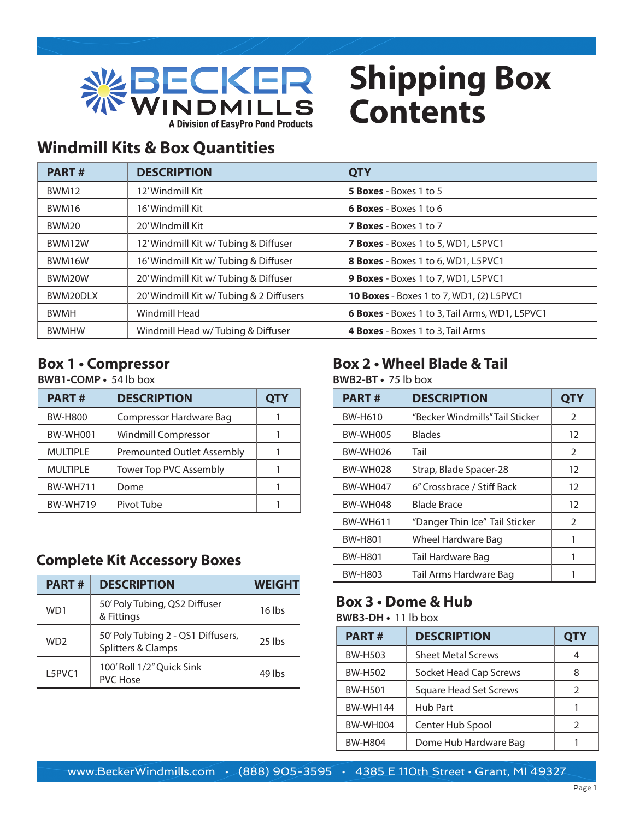

## **Shipping Box Contents**

### **Windmill Kits & Box Quantities**

| <b>PART#</b> | <b>DESCRIPTION</b>                       | <b>QTY</b>                                      |
|--------------|------------------------------------------|-------------------------------------------------|
| <b>BWM12</b> | 12'Windmill Kit                          | 5 Boxes - Boxes 1 to 5                          |
| BWM16        | 16'Windmill Kit                          | <b>6 Boxes</b> - Boxes 1 to 6                   |
| BWM20        | 20'WIndmill Kit                          | <b>7 Boxes</b> - Boxes 1 to 7                   |
| BWM12W       | 12' Windmill Kit w/Tubing & Diffuser     | <b>7 Boxes</b> - Boxes 1 to 5, WD1, L5PVC1      |
| BWM16W       | 16' Windmill Kit w/Tubing & Diffuser     | 8 Boxes - Boxes 1 to 6, WD1, L5PVC1             |
| BWM20W       | 20' Windmill Kit w/Tubing & Diffuser     | 9 Boxes - Boxes 1 to 7, WD1, L5PVC1             |
| BWM20DLX     | 20' Windmill Kit w/ Tubing & 2 Diffusers | <b>10 Boxes</b> - Boxes 1 to 7, WD1, (2) L5PVC1 |
| <b>BWMH</b>  | Windmill Head                            | 6 Boxes - Boxes 1 to 3, Tail Arms, WD1, L5PVC1  |
| <b>BWMHW</b> | Windmill Head w/Tubing & Diffuser        | 4 Boxes - Boxes 1 to 3, Tail Arms               |

#### **Box 1 • Compressor**

#### **BWB1-COMP •** 54 lb box

| <b>PART#</b>    | <b>DESCRIPTION</b>                | <b>QTY</b> |
|-----------------|-----------------------------------|------------|
| <b>BW-H800</b>  | Compressor Hardware Bag           |            |
| <b>BW-WH001</b> | <b>Windmill Compressor</b>        |            |
| <b>MULTIPLE</b> | <b>Premounted Outlet Assembly</b> |            |
| <b>MULTIPLE</b> | Tower Top PVC Assembly            |            |
| <b>BW-WH711</b> | Dome                              |            |
| <b>BW-WH719</b> | Pivot Tube                        |            |

#### **Complete Kit Accessory Boxes**

| <b>PART#</b>    | <b>DESCRIPTION</b>                                       | <b>WEIGHT</b> |
|-----------------|----------------------------------------------------------|---------------|
| WD1             | 50' Poly Tubing, QS2 Diffuser<br>& Fittings              | $16$ lbs      |
| WD <sub>2</sub> | 50' Poly Tubing 2 - QS1 Diffusers,<br>Splitters & Clamps | $25$ lbs      |
| L5PVC1          | 100' Roll 1/2" Quick Sink<br><b>PVC Hose</b>             | 49 lbs        |

### **Box 2 • Wheel Blade & Tail**

**BWB2-BT •** 75 lb box

| <b>PART#</b>    | <b>DESCRIPTION</b>             | <b>QTY</b>    |
|-----------------|--------------------------------|---------------|
| BW-H610         | "Becker Windmills"Tail Sticker | 2             |
| <b>BW-WH005</b> | <b>Blades</b>                  | 12            |
| <b>BW-WH026</b> | Tail                           | 2             |
| <b>BW-WH028</b> | Strap, Blade Spacer-28         | 12            |
| <b>BW-WH047</b> | 6" Crossbrace / Stiff Back     | 12            |
| <b>BW-WH048</b> | <b>Blade Brace</b>             | 12            |
| <b>BW-WH611</b> | "Danger Thin Ice" Tail Sticker | $\mathcal{P}$ |
| <b>BW-H801</b>  | Wheel Hardware Bag             | 1             |
| <b>BW-H801</b>  | Tail Hardware Bag              | 1             |
| BW-H803         | Tail Arms Hardware Bag         |               |

### **Box 3 • Dome & Hub**

**BWB3-DH •** 11 lb box

| <b>PART#</b>    | <b>DESCRIPTION</b>        | QTY |
|-----------------|---------------------------|-----|
| <b>BW-H503</b>  | <b>Sheet Metal Screws</b> | 4   |
| <b>BW-H502</b>  | Socket Head Cap Screws    | 8   |
| <b>BW-H501</b>  | Square Head Set Screws    | 2   |
| <b>BW-WH144</b> | <b>Hub Part</b>           |     |
| <b>BW-WH004</b> | Center Hub Spool          | 2   |
| <b>BW-H804</b>  | Dome Hub Hardware Bag     |     |

www.BeckerWindmills.com • (888) 905-3595 • 4385 E 110th Street • Grant, MI 49327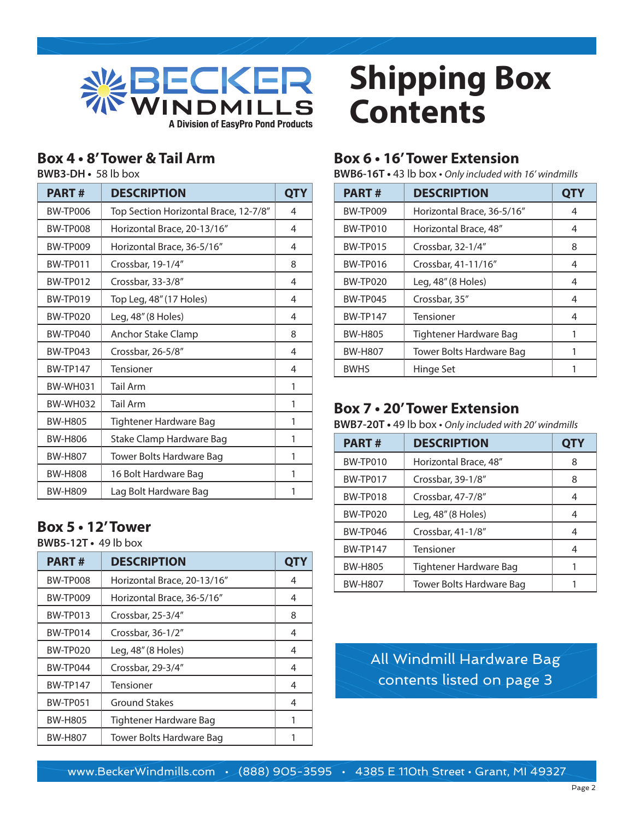

#### **Box 4 • 8' Tower & Tail Arm**

**BWB3-DH •** 58 lb box

| <b>PART#</b>    | <b>DESCRIPTION</b>                    | QTY |
|-----------------|---------------------------------------|-----|
| <b>BW-TP006</b> | Top Section Horizontal Brace, 12-7/8" | 4   |
| BW-TP008        | Horizontal Brace, 20-13/16"           | 4   |
| BW-TP009        | Horizontal Brace, 36-5/16"            | 4   |
| BW-TP011        | Crossbar, 19-1/4"                     | 8   |
| BW-TP012        | Crossbar, 33-3/8"                     | 4   |
| BW-TP019        | Top Leg, 48" (17 Holes)               | 4   |
| BW-TP020        | Leg, 48" (8 Holes)                    | 4   |
| <b>BW-TP040</b> | <b>Anchor Stake Clamp</b>             | 8   |
| BW-TP043        | Crossbar, 26-5/8"                     | 4   |
| <b>BW-TP147</b> | <b>Tensioner</b>                      | 4   |
| <b>BW-WH031</b> | <b>Tail Arm</b>                       | 1   |
| <b>BW-WH032</b> | <b>Tail Arm</b>                       | 1   |
| <b>BW-H805</b>  | Tightener Hardware Bag                | 1   |
| <b>BW-H806</b>  | Stake Clamp Hardware Bag              | 1   |
| <b>BW-H807</b>  | Tower Bolts Hardware Bag              | 1   |
| <b>BW-H808</b>  | 16 Bolt Hardware Bag                  | 1   |
| <b>BW-H809</b>  | Lag Bolt Hardware Bag                 | 1   |

#### **Box 5 • 12' Tower**

**BWB5-12T •** 49 lb box

| <b>PART#</b>    | <b>DESCRIPTION</b>          | <b>QTY</b> |
|-----------------|-----------------------------|------------|
| BW-TP008        | Horizontal Brace, 20-13/16" | 4          |
| BW-TP009        | Horizontal Brace, 36-5/16"  | 4          |
| BW-TP013        | Crossbar, 25-3/4"           | 8          |
| BW-TP014        | Crossbar, 36-1/2"           | 4          |
| BW-TP020        | Leg, 48" (8 Holes)          | 4          |
| BW-TP044        | Crossbar, 29-3/4"           | 4          |
| <b>BW-TP147</b> | Tensioner                   | 4          |
| <b>BW-TP051</b> | <b>Ground Stakes</b>        | 4          |
| <b>BW-H805</b>  | Tightener Hardware Bag      |            |
| <b>BW-H807</b>  | Tower Bolts Hardware Bag    |            |

# **Shipping Box Contents**

#### **Box 6 • 16' Tower Extension**

**BWB6-16T •** 43 lb box • *Only included with 16' windmills*

| <b>PART#</b>    | <b>DESCRIPTION</b>         | <b>QTY</b> |
|-----------------|----------------------------|------------|
| <b>BW-TP009</b> | Horizontal Brace, 36-5/16" | 4          |
| BW-TP010        | Horizontal Brace, 48"      | 4          |
| BW-TP015        | Crossbar, 32-1/4"          | 8          |
| <b>BW-TP016</b> | Crossbar, 41-11/16"        | 4          |
| BW-TP020        | Leg, 48" (8 Holes)         | 4          |
| BW-TP045        | Crossbar, 35"              | 4          |
| <b>BW-TP147</b> | Tensioner                  | 4          |
| <b>BW-H805</b>  | Tightener Hardware Bag     |            |
| <b>BW-H807</b>  | Tower Bolts Hardware Bag   |            |
| <b>BWHS</b>     | Hinge Set                  |            |

#### **Box 7 • 20' Tower Extension**

**BWB7-20T •** 49 lb box • *Only included with 20' windmills*

| <b>PART#</b>    | <b>DESCRIPTION</b>       | <b>QTY</b> |
|-----------------|--------------------------|------------|
| BW-TP010        | Horizontal Brace, 48"    | 8          |
| BW-TP017        | Crossbar, 39-1/8"        | 8          |
| BW-TP018        | Crossbar, 47-7/8"        | 4          |
| <b>BW-TP020</b> | Leg, 48" (8 Holes)       | 4          |
| BW-TP046        | Crossbar, 41-1/8"        | 4          |
| <b>BW-TP147</b> | Tensioner                | 4          |
| <b>BW-H805</b>  | Tightener Hardware Bag   |            |
| <b>BW-H807</b>  | Tower Bolts Hardware Bag |            |

All Windmill Hardware Bag contents listed on page 3

www.BeckerWindmills.com • (888) 905-3595 • 4385 E 110th Street • Grant, MI 49327